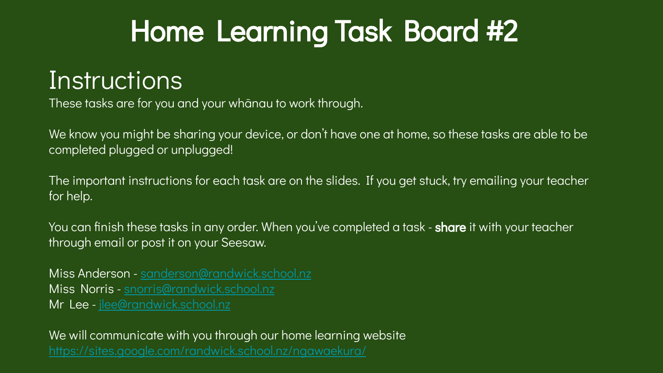# Home Learning Task Board #2

### **Instructions**

These tasks are for you and your whānau to work through.

We know you might be sharing your device, or don't have one at home, so these tasks are able to be completed plugged or unplugged!

The important instructions for each task are on the slides. If you get stuck, try emailing your teacher for help.

You can finish these tasks in any order. When you've completed a task - **share** it with your teacher through email or post it on your Seesaw.

Miss Anderson - [sanderson@randwick.school.nz](mailto:sanderson@randwick.school.nz) Miss Norris - [snorris@randwick.school.nz](mailto:snorris@randwick.school.nz) Mr Lee - [jlee@randwick.school.nz](mailto:jlee@randwick.school.nz)

We will communicate with you through our home learning website <https://sites.google.com/randwick.school.nz/ngawaekura/>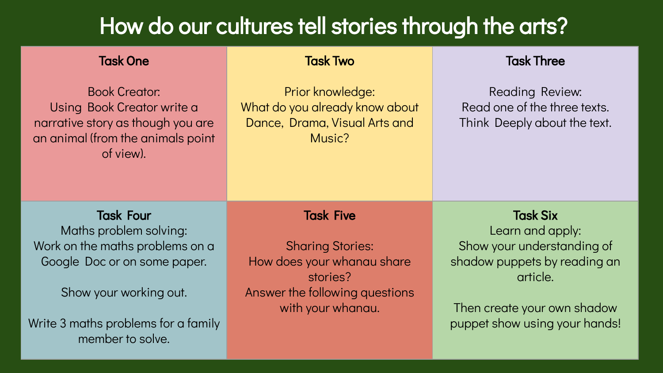### How do our cultures tell stories through the arts?

| <b>Task One</b>                                                                                                                           | <b>Task Two</b>                                                                               | <b>Task Three</b>                                                               |
|-------------------------------------------------------------------------------------------------------------------------------------------|-----------------------------------------------------------------------------------------------|---------------------------------------------------------------------------------|
| <b>Book Creator:</b><br>Using Book Creator write a<br>narrative story as though you are<br>an animal (from the animals point<br>of view). | Prior knowledge:<br>What do you already know about<br>Dance, Drama, Visual Arts and<br>Music? | Reading Review:<br>Read one of the three texts.<br>Think Deeply about the text. |
|                                                                                                                                           |                                                                                               |                                                                                 |
| <b>Task Four</b>                                                                                                                          | <b>Task Five</b>                                                                              | <b>Task Six</b>                                                                 |
| Maths problem solving:<br>Work on the maths problems on a                                                                                 | <b>Sharing Stories:</b>                                                                       | Learn and apply:<br>Show your understanding of                                  |
| Google Doc or on some paper.                                                                                                              | How does your whanau share<br>stories?                                                        | shadow puppets by reading an<br>article.                                        |
| Show your working out.                                                                                                                    | Answer the following questions                                                                |                                                                                 |
| Write 3 maths problems for a family                                                                                                       | with your whanau.                                                                             | Then create your own shadow<br>puppet show using your hands!                    |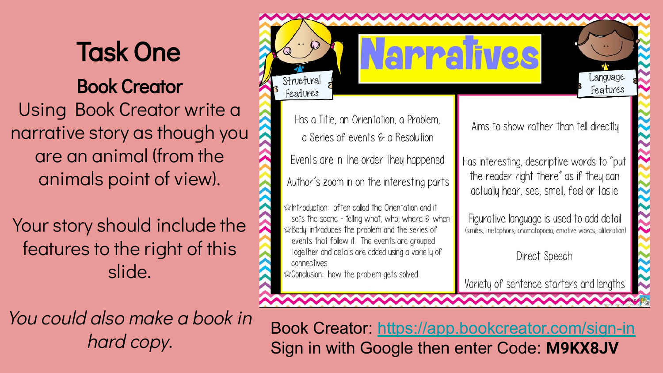### Task One Book Creator Using Book Creator write a narrative story as though you are an animal (from the animals point of view).

Your story should include the features to the right of this slide.

You could also make a book in hard copy.

x Body introduces the problem and the series of events that follow it. The events are grouped together and details are added using a variety of Direct Speech connectives conclusion: how the problem gets solved Variety of sentence starters and lengths Book Creator: <https://app.bookcreator.com/sign-in> Sign in with Google then enter Code: **M9KX8JV**

**ROPPAINES** 

Aims to show rather than tell directly

Language

Features

Has interesting, descriptive words to "put the reader right there" as if they can actually hear, see, smell, feel or taste

Figurative language is used to add detail (similes, metaphors, onomatopoeia, emotive words, alliteration)



Structural

Features

Has a Title, an Orientation, a Problem,

a Series of events  $\epsilon$  a Resolution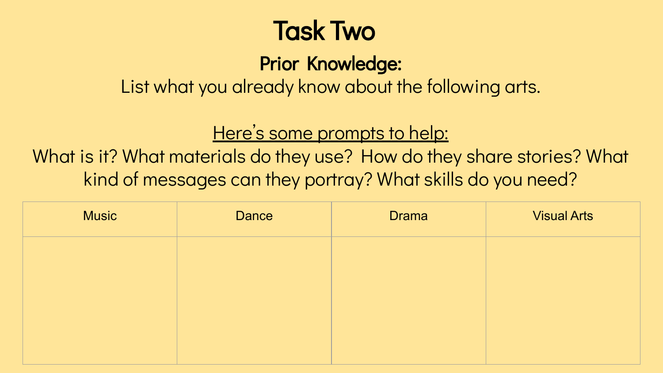## Task Two

Prior Knowledge:

List what you already know about the following arts.

### Here's some prompts to help:

What is it? What materials do they use? How do they share stories? What kind of messages can they portray? What skills do you need?

| <b>Music</b> | Dance | <b>Drama</b> | <b>Visual Arts</b> |
|--------------|-------|--------------|--------------------|
|              |       |              |                    |
|              |       |              |                    |
|              |       |              |                    |
|              |       |              |                    |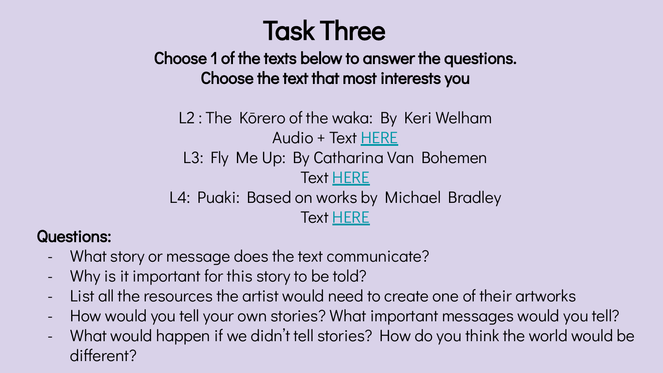## Task Three

Choose 1 of the texts below to answer the questions. Choose the text that most interests you

L2 : The Kōrero of the waka: By Keri Welham Audio + Text [HERE](https://instructionalseries.tki.org.nz/Instructional-Series/School-Journal/School-Journal-Level-2-November-2020/The-Korero-of-the-Waka) L3: Fly Me Up: By Catharina Van Bohemen Text [HERE](https://instructionalseries.tki.org.nz/Instructional-Series/School-Journal/School-Journal-Level-3-November-2018/Fly-Me-Up) L4: Puaki: Based on works by Michael Bradley Text [HERE](https://instructionalseries.tki.org.nz/Instructional-Series/School-Journal/School-Journal-Level-4-November-2019/Puaki)

#### Questions:

- What story or message does the text communicate?
- Why is it important for this story to be told?
- List all the resources the artist would need to create one of their artworks
- How would you tell your own stories? What important messages would you tell?
- What would happen if we didn't tell stories? How do you think the world would be different?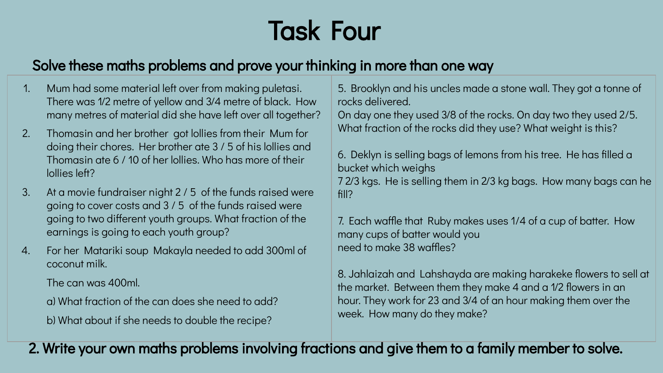## Task Four

#### Solve these maths problems and prove your thinking in more than one way

- 1. Mum had some material left over from making puletasi. There was 1⁄2 metre of yellow and 3⁄4 metre of black. How many metres of material did she have left over all together?
- 2. Thomasin and her brother got lollies from their Mum for doing their chores. Her brother ate 3 / 5 of his lollies and Thomasin ate 6 / 10 of her lollies. Who has more of their lollies left?
- 3. At a movie fundraiser night 2 / 5 of the funds raised were going to cover costs and 3 / 5 of the funds raised were going to two different youth groups. What fraction of the earnings is going to each youth group?
- 4. For her Matariki soup Makayla needed to add 300ml of coconut milk.

The can was 400ml.

a) What fraction of the can does she need to add?

b) What about if she needs to double the recipe?

5. Brooklyn and his uncles made a stone wall. They got a tonne of rocks delivered.

On day one they used 3⁄8 of the rocks. On day two they used 2/5. What fraction of the rocks did they use? What weight is this?

6. Deklyn is selling bags of lemons from his tree. He has filled a bucket which weighs 7 2⁄3 kgs. He is selling them in 2⁄3 kg bags. How many bags can he fill?

7. Each waffle that Ruby makes uses 1/4 of a cup of batter. How many cups of batter would you need to make 38 waffles?

8. Jahlaizah and Lahshayda are making harakeke flowers to sell at the market. Between them they make 4 and a 1⁄2 flowers in an hour. They work for 23 and 3⁄4 of an hour making them over the week. How many do they make?

2. Write your own maths problems involving fractions and give them to a family member to solve.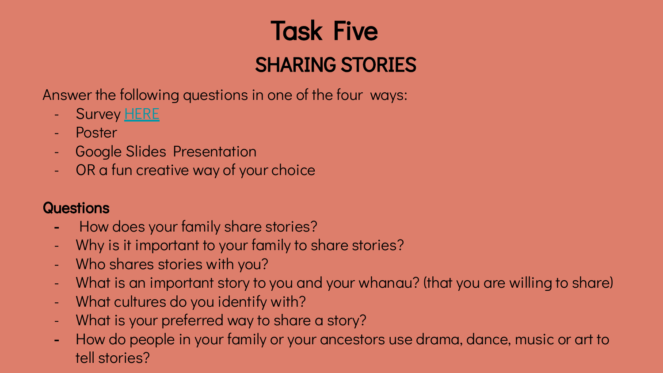## Task Five SHARING STORIES

Answer the following questions in one of the four ways:

- Survey <u>[HERE](https://forms.gle/Bn3xRxc758qLJcLW9)</u>
- Poster
- Google Slides Presentation
- OR a fun creative way of your choice

#### **Questions**

- How does your family share stories?
- Why is it important to your family to share stories?
- Who shares stories with you?
- What is an important story to you and your whanau? (that you are willing to share)
- What cultures do you identify with?
- What is your preferred way to share a story?
- How do people in your family or your ancestors use drama, dance, music or art to tell stories?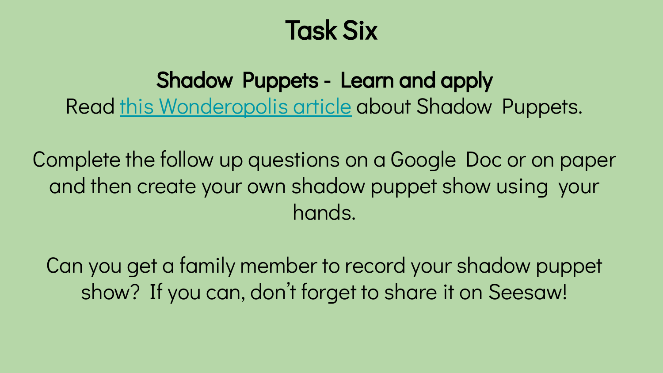### Task Six

Shadow Puppets - Learn and apply Read [this Wonderopolis article](https://docs.google.com/document/d/1WAaMjAOPmUmfaeNZeLkR7-zTLc4fI6GqQWo0dfiX-G4/edit?usp=sharing) about Shadow Puppets.

Complete the follow up questions on a Google Doc or on paper and then create your own shadow puppet show using your hands.

Can you get a family member to record your shadow puppet show? If you can, don't forget to share it on Seesaw!